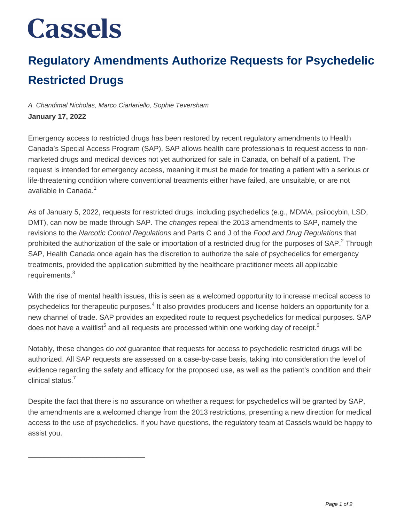## **Cassels**

\_\_\_\_\_\_\_\_\_\_\_\_\_\_\_\_\_\_\_\_\_\_\_\_\_\_\_\_\_

## **Regulatory Amendments Authorize Requests for Psychedelic Restricted Drugs**

## A. Chandimal Nicholas, Marco Ciarlariello, Sophie Teversham **January 17, 2022**

Emergency access to restricted drugs has been restored by recent regulatory amendments to Health Canada's Special Access Program (SAP). SAP allows health care professionals to request access to nonmarketed drugs and medical devices not yet authorized for sale in Canada, on behalf of a patient. The request is intended for emergency access, meaning it must be made for treating a patient with a serious or life-threatening condition where conventional treatments either have failed, are unsuitable, or are not available in Canada.<sup>1</sup>

As of January 5, 2022, requests for restricted drugs, including psychedelics (e.g., MDMA, psilocybin, LSD, DMT), can now be made through SAP. The *changes* repeal the 2013 amendments to SAP, namely the revisions to the Narcotic Control Regulations and Parts C and J of the Food and Drug Regulations that prohibited the authorization of the sale or importation of a restricted drug for the purposes of SAP.<sup>2</sup> Through SAP, Health Canada once again has the discretion to authorize the sale of psychedelics for emergency treatments, provided the application submitted by the healthcare practitioner meets all applicable requirements.<sup>3</sup>

With the rise of mental health issues, this is seen as a welcomed opportunity to increase medical access to psychedelics for therapeutic purposes.<sup>4</sup> It also provides producers and license holders an opportunity for a new channel of trade. SAP provides an expedited route to request psychedelics for medical purposes. SAP does not have a waitlist<sup>5</sup> and all requests are processed within one working day of receipt.<sup>6</sup>

Notably, these changes do not guarantee that requests for access to psychedelic restricted drugs will be authorized. All SAP requests are assessed on a case-by-case basis, taking into consideration the level of evidence regarding the safety and efficacy for the proposed use, as well as the patient's condition and their clinical status.<sup>7</sup>

Despite the fact that there is no assurance on whether a request for psychedelics will be granted by SAP, the amendments are a welcomed change from the 2013 restrictions, presenting a new direction for medical access to the use of psychedelics. If you have questions, the regulatory team at Cassels would be happy to assist you.